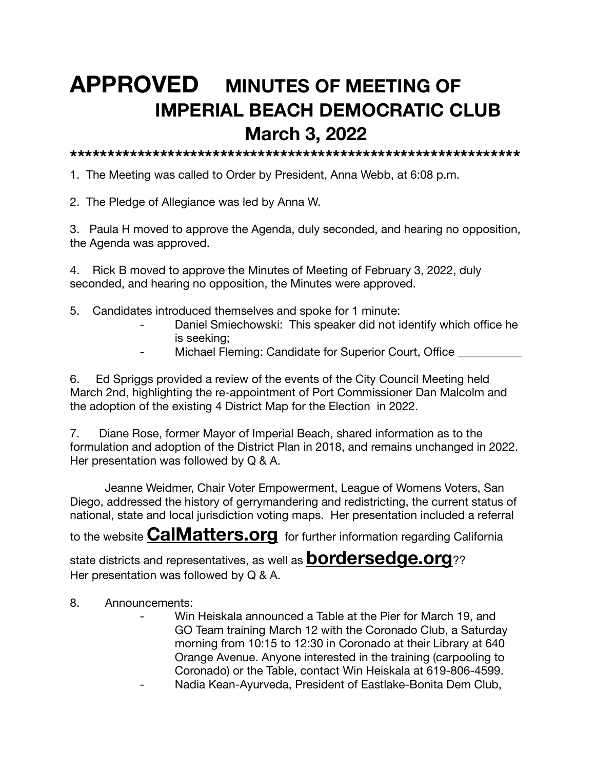## **APPROVED MINUTES OF MEETING OF IMPERIAL BEACH DEMOCRATIC CLUB March 3, 2022**

**\*\*\*\*\*\*\*\*\*\*\*\*\*\*\*\*\*\*\*\*\*\*\*\*\*\*\*\*\*\*\*\*\*\*\*\*\*\*\*\*\*\*\*\*\*\*\*\*\*\*\*\*\*\*\*\*\*\*\*\***

1. The Meeting was called to Order by President, Anna Webb, at 6:08 p.m.

2. The Pledge of Allegiance was led by Anna W.

3. Paula H moved to approve the Agenda, duly seconded, and hearing no opposition, the Agenda was approved.

4. Rick B moved to approve the Minutes of Meeting of February 3, 2022, duly seconded, and hearing no opposition, the Minutes were approved.

- 5. Candidates introduced themselves and spoke for 1 minute:
	- Daniel Smiechowski: This speaker did not identify which office he is seeking;
	- Michael Fleming: Candidate for Superior Court, Office \_\_\_\_\_\_\_\_\_\_

6. Ed Spriggs provided a review of the events of the City Council Meeting held March 2nd, highlighting the re-appointment of Port Commissioner Dan Malcolm and the adoption of the existing 4 District Map for the Election in 2022.

7. Diane Rose, former Mayor of Imperial Beach, shared information as to the formulation and adoption of the District Plan in 2018, and remains unchanged in 2022. Her presentation was followed by Q & A.

Jeanne Weidmer, Chair Voter Empowerment, League of Womens Voters, San Diego, addressed the history of gerrymandering and redistricting, the current status of national, state and local jurisdiction voting maps. Her presentation included a referral

to the website **[CalMatters.org](http://CalMatters.org)**for further information regarding California

state districts and representatives, as well as **[bordersedge.org](http://bordersedge.org)**?? Her presentation was followed by Q & A.

- 8. Announcements:
	- Win Heiskala announced a Table at the Pier for March 19, and GO Team training March 12 with the Coronado Club, a Saturday morning from 10:15 to 12:30 in Coronado at their Library at 640 Orange Avenue. Anyone interested in the training (carpooling to Coronado) or the Table, contact Win Heiskala at 619-806-4599.
	- Nadia Kean-Ayurveda, President of Eastlake-Bonita Dem Club,